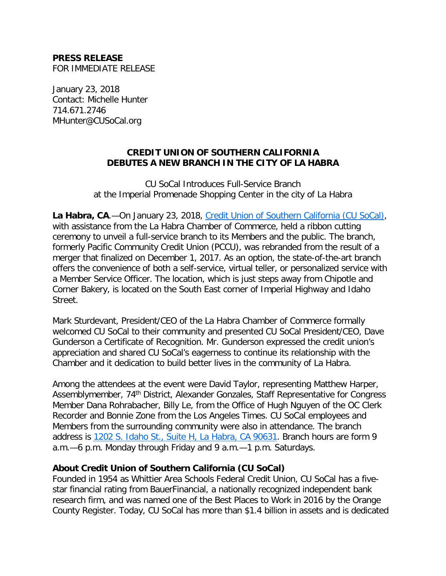## **PRESS RELEASE**  FOR IMMEDIATE RELEASE

 January 23, 2018 Contact: Michelle Hunter 714.671.2746 MHunter@CUSoCal.org

## **CREDIT UNION OF SOUTHERN CALIFORNIA DEBUTES A NEW BRANCH IN THE CITY OF LA HABRA**

 CU SoCal Introduces Full-Service Branch at the Imperial Promenade Shopping Center in the city of La Habra

 with assistance from the La Habra Chamber of Commerce, held a ribbon cutting ceremony to unveil a full-service branch to its Members and the public. The branch, formerly Pacific Community Credit Union (PCCU), was rebranded from the result of a merger that finalized on December 1, 2017. As an option, the state-of-the-art branch offers the convenience of both a self-service, virtual teller, or personalized service with a Member Service Officer. The location, which is just steps away from Chipotle and Corner Bakery, is located on the South East corner of Imperial Highway and Idaho Street. La Habra, CA.--On January 23, 2018, [Credit Union of Southern California \(CU SoCal\),](http://www.cusocal.org/)

Street.<br>Mark Sturdevant, President/CEO of the La Habra Chamber of Commerce formally welcomed CU SoCal to their community and presented CU SoCal President/CEO, Dave Gunderson a Certificate of Recognition. Mr. Gunderson expressed the credit union's appreciation and shared CU SoCal's eagerness to continue its relationship with the Chamber and it dedication to build better lives in the community of La Habra.

 Among the attendees at the event were David Taylor, representing Matthew Harper, Assemblymember, 74<sup>th</sup> District, Alexander Gonzales, Staff Representative for Congress Member Dana Rohrabacher, Billy Le, from the Office of Hugh Nguyen of the OC Clerk Recorder and Bonnie Zone from the Los Angeles Times. CU SoCal employees and Members from the surrounding community were also in attendance. The branch address is <u>1202 S. Idaho St., Suite H, La Habra, CA 90631</u>. Branch hours are form 9 a.m.—6 p.m. Monday through Friday and 9 a.m.—1 p.m. Saturdays.

## **About Credit Union of Southern California (CU SoCal)**

 Founded in 1954 as Whittier Area Schools Federal Credit Union, CU SoCal has a five- star financial rating from BauerFinancial, a nationally recognized independent bank research firm, and was named one of the Best Places to Work in 2016 by the Orange County Register. Today, CU SoCal has more than \$1.4 billion in assets and is dedicated